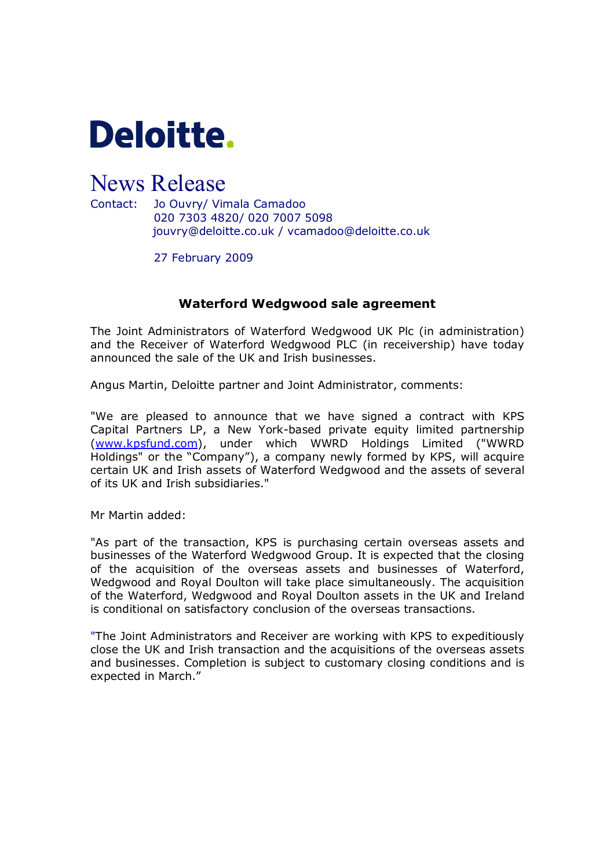

## News Release

Contact: Jo Ouvry/ Vimala Camadoo 020 7303 4820/ 020 7007 5098 jouvry@deloitte.co.uk / vcamadoo@deloitte.co.uk

27 February 2009

## Waterford Wedgwood sale agreement

The Joint Administrators of Waterford Wedgwood UK Plc (in administration) and the Receiver of Waterford Wedgwood PLC (in receivership) have today announced the sale of the UK and Irish businesses.

Angus Martin, Deloitte partner and Joint Administrator, comments:

"We are pleased to announce that we have signed a contract with KPS Capital Partners LP, a New York-based private equity limited partnership (www.kpsfund.com), under which WWRD Holdings Limited ("WWRD Holdings" or the "Company"), a company newly formed by KPS, will acquire certain UK and Irish assets of Waterford Wedgwood and the assets of several o[f its UK and Irish su](http://www.kpsfund.com/)bsidiaries."

Mr Martin added:

"As part of the transaction, KPS is purchasing certain overseas assets and businesses of the Waterford Wedgwood Group. It is expected that the closing of the acquisition of the overseas assets and businesses of Waterford, Wedgwood and Royal Doulton will take place simultaneously. The acquisition of the Waterford, Wedgwood and Royal Doulton assets in the UK and Ireland is conditional on satisfactory conclusion of the overseas transactions.

"The Joint Administrators and Receiver are working with KPS to expeditiously close the UK and Irish transaction and the acquisitions of the overseas assets and businesses. Completion is subject to customary closing conditions and is expected in March."